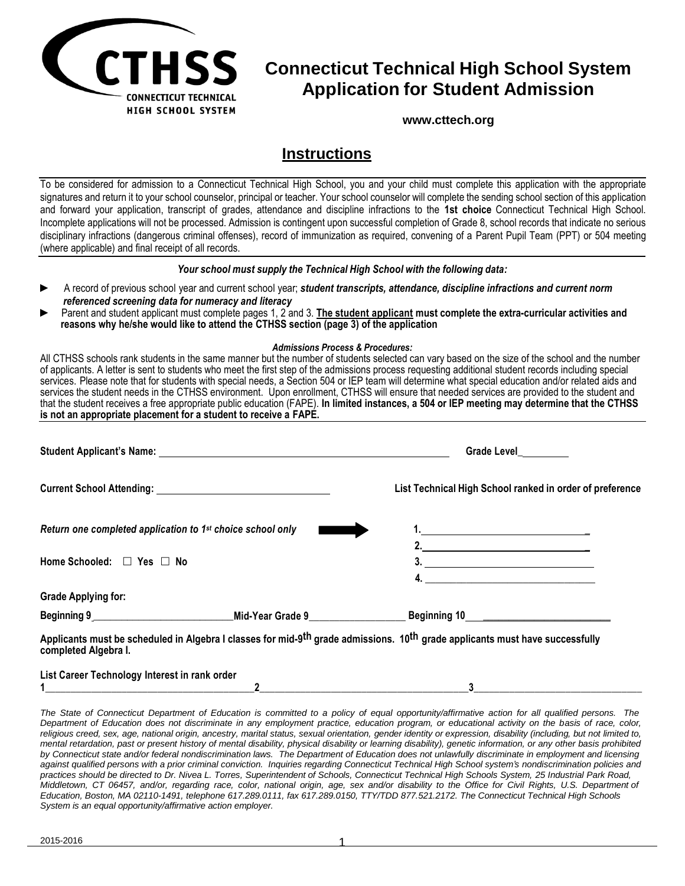

# **Connecticut Technical High School System Application for Student Admission**

**[www.cttech.org](http://www.cttech.org/)**

## **Instructions**

To be considered for admission to a Connecticut Technical High School, you and your child must complete this application with the appropriate signatures and return it to your school counselor, principal or teacher. Your school counselor will complete the sending school section of this application and forward your application, transcript of grades, attendance and discipline infractions to the **1st choice** Connecticut Technical High School. Incomplete applications will not be processed. Admission is contingent upon successful completion of Grade 8, school records that indicate no serious disciplinary infractions (dangerous criminal offenses), record of immunization as required, convening of a Parent Pupil Team (PPT) or 504 meeting (where applicable) and final receipt of all records.

#### *Your school must supply the Technical High School with the following data:*

- ► A record of previous school year and current school year; *student transcripts, attendance, discipline infractions and current norm referenced screening data for numeracy and literacy*
- ► Parent and student applicant must complete pages 1, 2 and 3. **The student applicant must complete the extra-curricular activities and reasons why he/she would like to attend the CTHSS section (page 3) of the application**

#### *Admissions Process & Procedures:*

All CTHSS schools rank students in the same manner but the number of students selected can vary based on the size of the school and the number of applicants. A letter is sent to students who meet the first step of the admissions process requesting additional student records including special services. Please note that for students with special needs, a Section 504 or IEP team will determine what special education and/or related aids and services the student needs in the CTHSS environment. Upon enrollment, CTHSS will ensure that needed services are provided to the student and that the student receives a free appropriate public education (FAPE). **In limited instances, a 504 or IEP meeting may determine that the CTHSS is not an appropriate placement for a student to receive a FAPE.**

|                                                                        |                                                       | Grade Level                                                                                                                                          |
|------------------------------------------------------------------------|-------------------------------------------------------|------------------------------------------------------------------------------------------------------------------------------------------------------|
|                                                                        |                                                       | List Technical High School ranked in order of preference                                                                                             |
| Return one completed application to 1 <sup>st</sup> choice school only |                                                       |                                                                                                                                                      |
| Home Schooled: $\Box$ Yes $\Box$ No                                    |                                                       | 2. $\overline{\phantom{a} \phantom{a} \phantom{a} \phantom{a} \phantom{a}}$<br>$\overline{\mathbf{3.}}$                                              |
| <b>Grade Applying for:</b>                                             |                                                       |                                                                                                                                                      |
| Beginning 9                                                            | Mid-Year Grade 9 All Annual Students and Students and | Beginning 10 <u>_________________________</u>                                                                                                        |
|                                                                        |                                                       | Applicants must be scheduled in Algebra I classes for mid-9 <sup>th</sup> grade admissions. 10 <sup>th</sup> grade applicants must have successfully |

**completed Algebra I. List Career Technology Interest in rank order** 

| List outcome compley mercat in faily order |  |
|--------------------------------------------|--|
|                                            |  |
|                                            |  |

The State of Connecticut Department of Education is committed to a policy of equal opportunity/affirmative action for all qualified persons. The Department of Education does not discriminate in any employment practice, education program, or educational activity on the basis of race, color, religious creed, sex, age, national origin, ancestry, marital status, sexual orientation, gender identity or expression, disability (including, but not limited to, mental retardation, past or present history of mental disability, physical disability or learning disability), genetic information, or any other basis prohibited by Connecticut state and/or federal nondiscrimination laws. The Department of Education does not unlawfully discriminate in employment and licensing against qualified persons with a prior criminal conviction. Inquiries regarding Connecticut Technical High School system's nondiscrimination policies and practices should be directed to Dr. Nivea L. Torres, Superintendent of Schools, Connecticut Technical High Schools System, 25 Industrial Park Road, Middletown, CT 06457, and/or, regarding race, color, national origin, age, sex and/or disability to the Office for Civil Rights, U.S. Department of *Education, Boston, MA 02110-1491, telephone 617.289.0111, fax 617.289.0150, TTY/TDD 877.521.2172. The Connecticut Technical High Schools System is an equal opportunity/affirmative action employer.*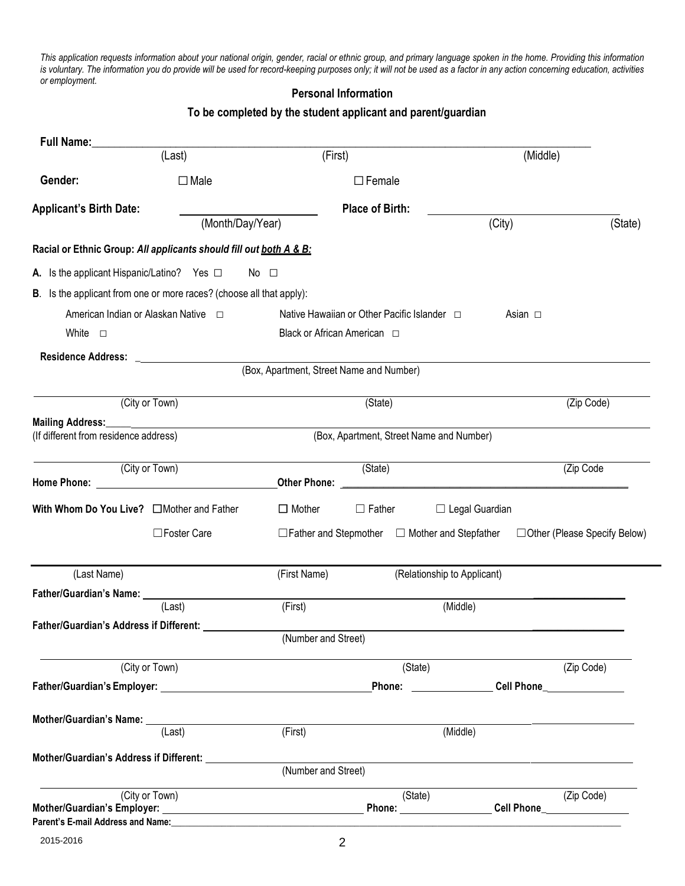This application requests information about your national origin, gender, racial or ethnic group, and primary language spoken in the home. Providing this information is voluntary. The information you do provide will be used for record-keeping purposes only; it will not be used as a factor in any action concerning education, activities *or employment.*

#### **Personal Information**

## **To be completed by the student applicant and parent/guardian**

| Full Name:                                                                                                                                                                                                                                                                                                                                       |                  |                                                           |                                          |                             |                                     |
|--------------------------------------------------------------------------------------------------------------------------------------------------------------------------------------------------------------------------------------------------------------------------------------------------------------------------------------------------|------------------|-----------------------------------------------------------|------------------------------------------|-----------------------------|-------------------------------------|
|                                                                                                                                                                                                                                                                                                                                                  | (Last)           | (First)                                                   |                                          |                             | (Middle)                            |
| Gender:                                                                                                                                                                                                                                                                                                                                          | $\Box$ Male      |                                                           | $\Box$ Female                            |                             |                                     |
| <b>Applicant's Birth Date:</b>                                                                                                                                                                                                                                                                                                                   |                  |                                                           | <b>Place of Birth:</b>                   |                             |                                     |
|                                                                                                                                                                                                                                                                                                                                                  | (Month/Day/Year) |                                                           |                                          | (City)                      | (State)                             |
| Racial or Ethnic Group: All applicants should fill out both A & B:                                                                                                                                                                                                                                                                               |                  |                                                           |                                          |                             |                                     |
| A. Is the applicant Hispanic/Latino? Yes $\Box$                                                                                                                                                                                                                                                                                                  |                  | No $\square$                                              |                                          |                             |                                     |
| B. Is the applicant from one or more races? (choose all that apply):                                                                                                                                                                                                                                                                             |                  |                                                           |                                          |                             |                                     |
| American Indian or Alaskan Native $\Box$                                                                                                                                                                                                                                                                                                         |                  | Native Hawaiian or Other Pacific Islander □               |                                          |                             | Asian $\square$                     |
| White $\square$                                                                                                                                                                                                                                                                                                                                  |                  | Black or African American □                               |                                          |                             |                                     |
|                                                                                                                                                                                                                                                                                                                                                  |                  |                                                           |                                          |                             |                                     |
|                                                                                                                                                                                                                                                                                                                                                  |                  | (Box, Apartment, Street Name and Number)                  |                                          |                             |                                     |
|                                                                                                                                                                                                                                                                                                                                                  | (City or Town)   |                                                           | (State)                                  |                             | (Zip Code)                          |
|                                                                                                                                                                                                                                                                                                                                                  |                  |                                                           |                                          |                             |                                     |
| (If different from residence address)                                                                                                                                                                                                                                                                                                            |                  |                                                           | (Box, Apartment, Street Name and Number) |                             |                                     |
|                                                                                                                                                                                                                                                                                                                                                  | (City or Town)   |                                                           | (State)                                  |                             | (Zip Code                           |
|                                                                                                                                                                                                                                                                                                                                                  |                  |                                                           |                                          |                             |                                     |
| With Whom Do You Live? <sub>Mother</sub> and Father                                                                                                                                                                                                                                                                                              |                  | $\Box$ Mother                                             | $\Box$ Father                            | $\Box$ Legal Guardian       |                                     |
|                                                                                                                                                                                                                                                                                                                                                  | □Foster Care     | $\Box$ Father and Stepmother $\Box$ Mother and Stepfather |                                          |                             | $\Box$ Other (Please Specify Below) |
| (Last Name)                                                                                                                                                                                                                                                                                                                                      |                  | (First Name)                                              |                                          | (Relationship to Applicant) |                                     |
|                                                                                                                                                                                                                                                                                                                                                  |                  |                                                           |                                          |                             |                                     |
|                                                                                                                                                                                                                                                                                                                                                  | (Last)           | (First)                                                   |                                          | (Middle)                    |                                     |
| Father/Guardian's Address if Different:                                                                                                                                                                                                                                                                                                          |                  | (Number and Street)                                       |                                          |                             |                                     |
|                                                                                                                                                                                                                                                                                                                                                  | (City or Town)   |                                                           | (State)                                  |                             | (Zip Code)                          |
|                                                                                                                                                                                                                                                                                                                                                  |                  |                                                           |                                          | Phone: ________________     | Cell Phone_______________           |
|                                                                                                                                                                                                                                                                                                                                                  |                  |                                                           |                                          |                             |                                     |
| Mother/Guardian's Name: ____                                                                                                                                                                                                                                                                                                                     | (Last)           | (First)                                                   |                                          | (Middle)                    |                                     |
|                                                                                                                                                                                                                                                                                                                                                  |                  |                                                           |                                          |                             |                                     |
|                                                                                                                                                                                                                                                                                                                                                  |                  | (Number and Street)                                       |                                          |                             |                                     |
|                                                                                                                                                                                                                                                                                                                                                  | (City or Town)   |                                                           | (State)                                  |                             | (Zip Code)                          |
| Mother/Guardian's Employer: Network and the contract of the contract of the contract of the contract of the contract of the contract of the contract of the contract of the contract of the contract of the contract of the co<br>Parent's E-mail Address and Name: Name and Search and Search and Search and Search and Search and Search and S |                  |                                                           |                                          |                             | Phone: Cell Phone                   |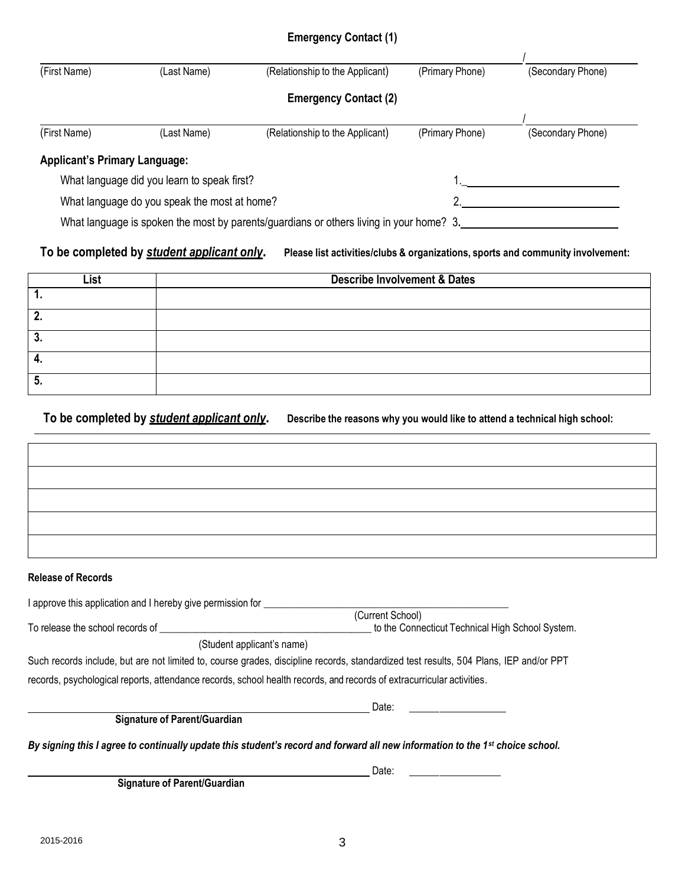## **Emergency Contact (1)**

| (First Name)                         | (Last Name)                                  | (Relationship to the Applicant)                                                         | (Primary Phone) | (Secondary Phone) |
|--------------------------------------|----------------------------------------------|-----------------------------------------------------------------------------------------|-----------------|-------------------|
|                                      |                                              | <b>Emergency Contact (2)</b>                                                            |                 |                   |
| (First Name)                         | (Last Name)                                  | (Relationship to the Applicant)                                                         | (Primary Phone) | (Secondary Phone) |
| <b>Applicant's Primary Language:</b> |                                              |                                                                                         |                 |                   |
|                                      | What language did you learn to speak first?  |                                                                                         |                 |                   |
|                                      | What language do you speak the most at home? |                                                                                         |                 |                   |
|                                      |                                              | What language is spoken the most by parents/guardians or others living in your home? 3. |                 |                   |

### To be completed by student applicant only. Please list activities/clubs & organizations, sports and community involvement:

| List     | <b>Describe Involvement &amp; Dates</b> |
|----------|-----------------------------------------|
|          |                                         |
| n<br>. . |                                         |
| л<br>J,  |                                         |
|          |                                         |
| ວ.       |                                         |

To be completed by student applicant only. Describe the reasons why you would like to attend a technical high school:

#### **Release of Records**

| I approve this application and I hereby give permission for                                                           |                                                                                                                                       |
|-----------------------------------------------------------------------------------------------------------------------|---------------------------------------------------------------------------------------------------------------------------------------|
|                                                                                                                       | (Current School)                                                                                                                      |
| To release the school records of                                                                                      | to the Connecticut Technical High School System.                                                                                      |
| (Student applicant's name)                                                                                            |                                                                                                                                       |
|                                                                                                                       | Such records include, but are not limited to, course grades, discipline records, standardized test results, 504 Plans, IEP and/or PPT |
| records, psychological reports, attendance records, school health records, and records of extracurricular activities. |                                                                                                                                       |
|                                                                                                                       | Date:                                                                                                                                 |
| <b>Signature of Parent/Guardian</b>                                                                                   |                                                                                                                                       |

By signing this I agree to continually update this student's record and forward all new information to the 1st choice school.

<u>Date: Experimental and the contract of the contract of the contract of the contract of the contract of the con</u>

**Signature of Parent/Guardian**